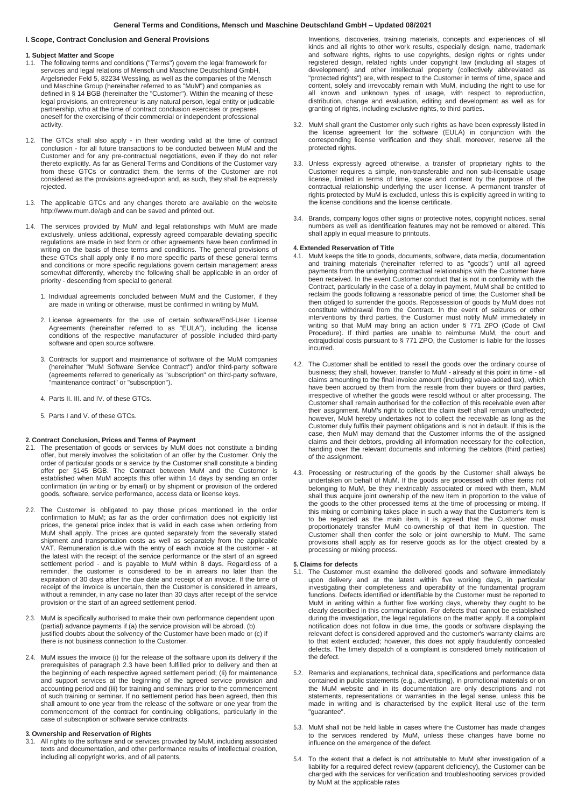# **General Terms and Conditions, Mensch und Maschine Deutschland GmbH – Updated 08/2021**

# **I. Scope, Contract Conclusion and General Provisions**

# **1. Subject Matter and Scope**

- 1.1. The following terms and conditions ("Terms") govern the legal framework for services and legal relations of Mensch und Maschine Deutschland GmbH, Argelsrieder Feld 5, 82234 Wessling, as well as the companies of the Mensch und Maschine Group (hereinafter referred to as "MuM") and companies as defined in § 14 BGB (hereinafter the "Customer"). Within the meaning of these legal provisions, an entrepreneur is any natural person, legal entity or judicable partnership, who at the time of contract conclusion exercises or prepares oneself for the exercising of their commercial or independent professional activity.
- 1.2. The GTCs shall also apply in their wording valid at the time of contract conclusion - for all future transactions to be conducted between MuM and the Customer and for any pre-contractual negotiations, even if they do not refer thereto explicitly. As far as General Terms and Conditions of the Customer vary from these GTCs or contradict them, the terms of the Customer are not considered as the provisions agreed-upon and, as such, they shall be expressly rejected.
- 1.3. The applicable GTCs and any changes thereto are available on the website <http://www.mum.de/agb> and can be saved and printed out.
- 1.4. The services provided by MuM and legal relationships with MuM are made exclusively, unless additional, expressly agreed comparable deviating specific regulations are made in text form or other agreements have been confirmed in writing on the basis of these terms and conditions. The general provisions of these GTCs shall apply only if no more specific parts of these general terms and conditions or more specific regulations govern certain management areas somewhat differently, whereby the following shall be applicable in an order of priority - descending from special to general:
	- 1. Individual agreements concluded between MuM and the Customer, if they are made in writing or otherwise, must be confirmed in writing by MuM.
	- 2. License agreements for the use of certain software/End-User License Agreements (hereinafter referred to as "EULA"), including the license conditions of the respective manufacturer of possible included third-party software and open source software.
	- 3. Contracts for support and maintenance of software of the MuM companies (hereinafter "MuM Software Service Contract") and/or third-party software (agreements referred to generically as "subscription" on third-party software, "maintenance contract" or "subscription").
	- 4. Parts II. III. and IV. of these GTCs.
	- 5. Parts I and V. of these GTCs.

#### **2. Contract Conclusion, Prices and Terms of Payment**

- 2.1. The presentation of goods or services by MuM does not constitute a binding offer, but merely involves the solicitation of an offer by the Customer. Only the order of particular goods or a service by the Customer shall constitute a binding offer per §145 BGB. The Contract between MuM and the Customer is established when MuM accepts this offer within 14 days by sending an order confirmation (in writing or by email) or by shipment or provision of the ordered goods, software, service performance, access data or license keys.
- 2.2. The Customer is obligated to pay those prices mentioned in the order confirmation to MuM; as far as the order confirmation does not explicitly list prices, the general price index that is valid in each case when ordering from MuM shall apply. The prices are quoted separately from the severally stated shipment and transportation costs as well as separately from the applicable VAT. Remuneration is due with the entry of each invoice at the customer - at the latest with the receipt of the service performance or the start of an agreed settlement period - and is payable to MuM within 8 days. Regardless of a reminder, the customer is considered to be in arrears no later than the expiration of 30 days after the due date and receipt of an invoice. If the time of receipt of the invoice is uncertain, then the Customer is considered in arrears, without a reminder, in any case no later than 30 days after receipt of the service provision or the start of an agreed settlement period.
- 2.3. MuM is specifically authorised to make their own performance dependent upon (partial) advance payments if (a) the service provision will be abroad, (b) justified doubts about the solvency of the Customer have been made or (c) if there is not business connection to the Customer.
- 2.4. MuM issues the invoice (i) for the release of the software upon its delivery if the prerequisites of paragraph 2.3 have been fulfilled prior to delivery and then at the beginning of each respective agreed settlement period; (Ii) for maintenance and support services at the beginning of the agreed service provision and accounting period and (iii) for training and seminars prior to the commencement of such training or seminar. If no settlement period has been agreed, then this shall amount to one year from the release of the software or one year from the commencement of the contract for continuing obligations, particularly in the case of subscription or software service contracts.

## **3. Ownership and Reservation of Rights**

All rights to the software and or services provided by MuM, including associated texts and documentation, and other performance results of intellectual creation, including all copyright works, and of all patents,

Inventions, discoveries, training materials, concepts and experiences of all kinds and all rights to other work results, especially design, name, trademark and software rights, rights to use copyrights, design rights or rights under registered design, related rights under copyright law (including all stages of development) and other intellectual property (collectively abbreviated as "protected rights") are, with respect to the Customer in terms of time, space and content, solely and irrevocably remain with MuM, including the right to use for all known and unknown types of usage, with respect to reproduction, distribution, change and evaluation, editing and development as well as for granting of rights, including exclusive rights, to third parties.

- 3.2. MuM shall grant the Customer only such rights as have been expressly listed in the license agreement for the software (EULA) in conjunction with the corresponding license verification and they shall, moreover, reserve all the protected rights.
- 3.3. Unless expressly agreed otherwise, a transfer of proprietary rights to the Customer requires a simple, non-transferable and non sub-licensable usage license, limited in terms of time, space and content by the purpose of the contractual relationship underlying the user license. A permanent transfer of rights protected by MuM is excluded, unless this is explicitly agreed in writing to the license conditions and the license certificate.
- 3.4. Brands, company logos other signs or protective notes, copyright notices, serial numbers as well as identification features may not be removed or altered. This shall apply in equal measure to printouts.

# **4. Extended Reservation of Title**

- MuM keeps the title to goods, documents, software, data media, documentation and training materials (hereinafter referred to as "goods") until all agreed payments from the underlying contractual relationships with the Customer have been received. In the event Customer conduct that is not in conformity with the Contract, particularly in the case of a delay in payment, MuM shall be entitled to reclaim the goods following a reasonable period of time; the Customer shall be then obliged to surrender the goods. Repossession of goods by MuM does not constitute withdrawal from the Contract. In the event of seizures or other interventions by third parties, the Customer must notify MuM immediately in writing so that MuM may bring an action under § 771 ZPO (Code of Civil Procedure). If third parties are unable to reimburse MuM, the court and extrajudicial costs pursuant to § 771 ZPO, the Customer is liable for the losses incurred.
- 4.2. The Customer shall be entitled to resell the goods over the ordinary course of business; they shall, however, transfer to MuM - already at this point in time - all claims amounting to the final invoice amount (including value-added tax), which have been accrued by them from the resale from their buyers or third parties, irrespective of whether the goods were resold without or after processing. The Customer shall remain authorised for the collection of this receivable even after their assignment. MuM's right to collect the claim itself shall remain unaffected; however, MuM hereby undertakes not to collect the receivable as long as the Customer duly fulfils their payment obligations and is not in default. If this is the case, then MuM may demand that the Customer informs the of the assigned claims and their debtors, providing all information necessary for the collection, handing over the relevant documents and informing the debtors (third parties) of the assignment.
- 4.3. Processing or restructuring of the goods by the Customer shall always be undertaken on behalf of MuM. If the goods are processed with other items not belonging to MuM, be they inextricably associated or mixed with them, MuM shall thus acquire joint ownership of the new item in proportion to the value of the goods to the other processed items at the time of processing or mixing. If this mixing or combining takes place in such a way that the Customer's item is to be regarded as the main item, it is agreed that the Customer must proportionately transfer MuM co-ownership of that item in question. The Customer shall then confer the sole or joint ownership to MuM. The same provisions shall apply as for reserve goods as for the object created by a processing or mixing process.

# **5. Claims for defects**

- 5.1. The Customer must examine the delivered goods and software immediately upon delivery and at the latest within five working days, in particular investigating their completeness and operability of the fundamental program functions. Defects identified or identifiable by the Customer must be reported to MuM in writing within a further five working days, whereby they ought to be clearly described in this communication. For defects that cannot be established during the investigation, the legal regulations on the matter apply. If a complaint notification does not follow in due time, the goods or software displaying the relevant defect is considered approved and the customer's warranty claims are to that extent excluded; however, this does not apply fraudulently concealed defects. The timely dispatch of a complaint is considered timely notification of the defect.
- 5.2. Remarks and explanations, technical data, specifications and performance data contained in public statements (e.g., advertising), in promotional materials or on the MuM website and in its documentation are only descriptions and not statements, representations or warranties in the legal sense, unless this be made in writing and is characterised by the explicit literal use of the term "guarantee".
- 5.3. MuM shall not be held liable in cases where the Customer has made changes to the services rendered by MuM, unless these changes have borne no influence on the emergence of the defect.
- 5.4. To the extent that a defect is not attributable to MuM after investigation of a liability for a required defect review (apparent deficiency), the Customer can be charged with the services for verification and troubleshooting services provided by MuM at the applicable rates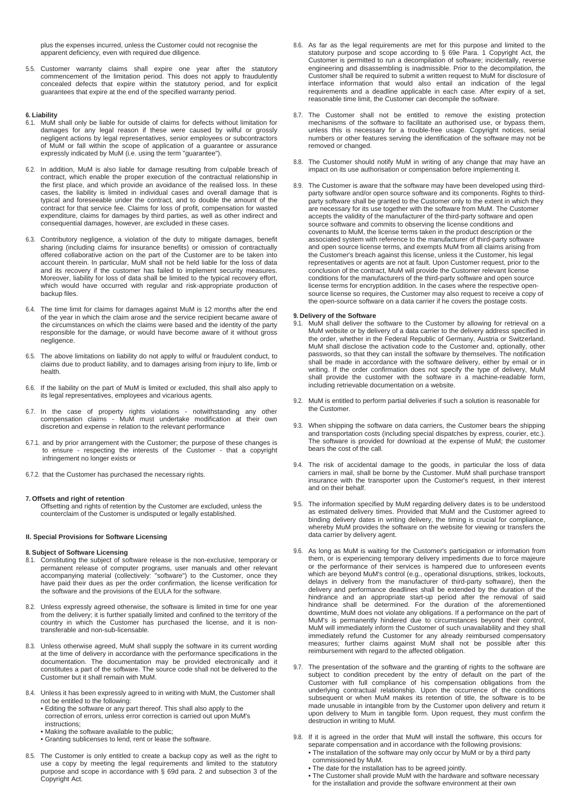plus the expenses incurred, unless the Customer could not recognise the apparent deficiency, even with required due diligence.

5.5. Customer warranty claims shall expire one year after the statutory commencement of the limitation period. This does not apply to fraudulently concealed defects that expire within the statutory period, and for explicit guarantees that expire at the end of the specified warranty period.

# **6. Liability**

- 6.1. MuM shall only be liable for outside of claims for defects without limitation for damages for any legal reason if these were caused by wilful or grossly negligent actions by legal representatives, senior employees or subcontractors of MuM or fall within the scope of application of a guarantee or assurance expressly indicated by MuM (i.e. using the term "guarantee").
- 6.2. In addition, MuM is also liable for damage resulting from culpable breach of contract, which enable the proper execution of the contractual relationship in the first place, and which provide an avoidance of the realised loss. In these cases, the liability is limited in individual cases and overall damage that is typical and foreseeable under the contract, and to double the amount of the contract for that service fee. Claims for loss of profit, compensation for wasted expenditure, claims for damages by third parties, as well as other indirect and consequential damages, however, are excluded in these cases.
- 6.3. Contributory negligence, a violation of the duty to mitigate damages, benefit sharing (including claims for insurance benefits) or omission of contractually offered collaborative action on the part of the Customer are to be taken into account therein. In particular, MuM shall not be held liable for the loss of data and its recovery if the customer has failed to implement security measures. Moreover, liability for loss of data shall be limited to the typical recovery effort, which would have occurred with regular and risk-appropriate production of backup files.
- 6.4. The time limit for claims for damages against MuM is 12 months after the end of the year in which the claim arose and the service recipient became aware of the circumstances on which the claims were based and the identity of the party responsible for the damage, or would have become aware of it without gross negligence.
- 6.5. The above limitations on liability do not apply to wilful or fraudulent conduct, to claims due to product liability, and to damages arising from injury to life, limb or health.
- 6.6. If the liability on the part of MuM is limited or excluded, this shall also apply to its legal representatives, employees and vicarious agents.
- 6.7. In the case of property rights violations notwithstanding any other compensation claims - MuM must undertake modification at their own discretion and expense in relation to the relevant performance
- 6.7.1. and by prior arrangement with the Customer; the purpose of these changes is to ensure - respecting the interests of the Customer - that a copyright infringement no longer exists or
- 6.7.2. that the Customer has purchased the necessary rights.

# **7. Offsets and right of retention**

Offsetting and rights of retention by the Customer are excluded, unless the counterclaim of the Customer is undisputed or legally established.

#### **II. Special Provisions for Software Licensing**

- **8. Subject of Software Licensing** 8.1. Constituting the subject of software release is the non-exclusive, temporary or permanent release of computer programs, user manuals and other relevant accompanying material (collectively: "software") to the Customer, once they have paid their dues as per the order confirmation, the license verification for the software and the provisions of the EULA for the software.
- 8.2. Unless expressly agreed otherwise, the software is limited in time for one year from the delivery; it is further spatially limited and confined to the territory of the country in which the Customer has purchased the license, and it is nontransferable and non-sub-licensable.
- 8.3. Unless otherwise agreed, MuM shall supply the software in its current wording at the time of delivery in accordance with the performance specifications in the documentation. The documentation may be provided electronically and it constitutes a part of the software. The source code shall not be delivered to the Customer but it shall remain with MuM.
- 8.4. Unless it has been expressly agreed to in writing with MuM, the Customer shall not be entitled to the following:
	- Editing the software or any part thereof. This shall also apply to the correction of errors, unless error correction is carried out upon MuM's
	- instructions;
	- Making the software available to the public;
	- Granting sublicenses to lend, rent or lease the software.
- 8.5. The Customer is only entitled to create a backup copy as well as the right to use a copy by meeting the legal requirements and limited to the statutory purpose and scope in accordance with § 69d para. 2 and subsection 3 of the Copyright Act.
- 8.6. As far as the legal requirements are met for this purpose and limited to the statutory purpose and scope according to § 69e Para. 1 Copyright Act, the Customer is permitted to run a decompilation of software; incidentally, reverse engineering and disassembling is inadmissible. Prior to the decompilation, the Customer shall be required to submit a written request to MuM for disclosure of interface information that would also entail an indication of the legal requirements and a deadline applicable in each case. After expiry of a set, reasonable time limit, the Customer can decompile the software.
- 8.7. The Customer shall not be entitled to remove the existing protection mechanisms of the software to facilitate an authorised use, or bypass them, unless this is necessary for a trouble-free usage. Copyright notices, serial numbers or other features serving the identification of the software may not be removed or changed.
- 8.8. The Customer should notify MuM in writing of any change that may have an impact on its use authorisation or compensation before implementing it.
- 8.9. The Customer is aware that the software may have been developed using thirdparty software and/or open source software and its components. Rights to thirdparty software shall be granted to the Customer only to the extent in which they are necessary for its use together with the software from MuM. The Customer accepts the validity of the manufacturer of the third-party software and open source software and commits to observing the license conditions and covenants to MuM, the license terms taken in the product description or the associated system with reference to the manufacturer of third-party software and open source license terms, and exempts MuM from all claims arising from the Customer's breach against this license, unless it the Customer, his legal representatives or agents are not at fault. Upon Customer request, prior to the conclusion of the contract, MuM will provide the Customer relevant license conditions for the manufacturers of the third-party software and open source license terms for encryption addition. In the cases where the respective opensource license so requires, the Customer may also request to receive a copy of the open-source software on a data carrier if he covers the postage costs.

- **9. Delivery of the Software** 9.1. MuM shall deliver the software to the Customer by allowing for retrieval on a MuM website or by delivery of a data carrier to the delivery address specified in the order, whether in the Federal Republic of Germany, Austria or Switzerland. MuM shall disclose the activation code to the Customer and, optionally, other passwords, so that they can install the software by themselves. The notification shall be made in accordance with the software delivery, either by email or in writing. If the order confirmation does not specify the type of delivery, MuM shall provide the customer with the software in a machine-readable form, including retrievable documentation on a website.
- 9.2. MuM is entitled to perform partial deliveries if such a solution is reasonable for the Customer.
- 9.3. When shipping the software on data carriers, the Customer bears the shipping and transportation costs (including special dispatches by express, courier, etc.). The software is provided for download at the expense of MuM; the customer bears the cost of the call.
- 9.4. The risk of accidental damage to the goods, in particular the loss of data carriers in mail, shall be borne by the Customer. MuM shall purchase transport insurance with the transporter upon the Customer's request, in their interest and on their behalf.
- 9.5. The information specified by MuM regarding delivery dates is to be understood as estimated delivery times. Provided that MuM and the Customer agreed to binding delivery dates in writing delivery, the timing is crucial for compliance, whereby MuM provides the software on the website for viewing or transfers the data carrier by delivery agent.
- 9.6. As long as MuM is waiting for the Customer's participation or information from them, or is experiencing temporary delivery impediments due to force majeure or the performance of their services is hampered due to unforeseen events which are beyond MuM's control (e.g., operational disruptions, strikes, lockouts, delays in delivery from the manufacturer of third-party software), then the delivery and performance deadlines shall be extended by the duration of the hindrance and an appropriate start-up period after the removal of said hindrance shall be determined. For the duration of the aforementioned downtime, MuM does not violate any obligations. If a performance on the part of MuM's is permanently hindered due to circumstances beyond their control, MuM will immediately inform the Customer of such unavailability and they shall immediately refund the Customer for any already reimbursed compensatory measures; further claims against MuM shall not be possible after this reimbursement with regard to the affected obligation.
- 9.7. The presentation of the software and the granting of rights to the software are subject to condition precedent by the entry of default on the part of the Customer with full compliance of his compensation obligations from the underlying contractual relationship. Upon the occurrence of the conditions subsequent or when MuM makes its retention of title, the software is to be made unusable in intangible from by the Customer upon delivery and return it upon delivery to Mum in tangible form. Upon request, they must confirm the destruction in writing to MuM.
- 9.8. If it is agreed in the order that MuM will install the software, this occurs for separate compensation and in accordance with the following provisions: • The installation of the software may only occur by MuM or by a third party
	- commissioned by MuM. • The date for the installation has to be agreed jointly.
	- The Customer shall provide MuM with the hardware and software necessary for the installation and provide the software environment at their own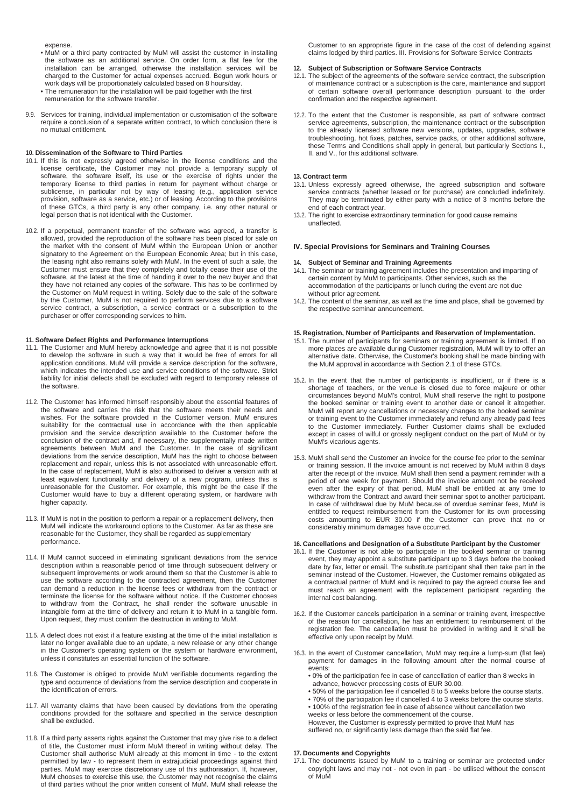expense.

- MuM or a third party contracted by MuM will assist the customer in installing the software as an additional service. On order form, a flat fee for the installation can be arranged, otherwise the installation services will be charged to the Customer for actual expenses accrued. Begun work hours or work days will be proportionately calculated based on 8 hours/day.
- The remuneration for the installation will be paid together with the first remuneration for the software transfer.
- 9.9. Services for training, individual implementation or customisation of the software require a conclusion of a separate written contract, to which conclusion there is no mutual entitlement.

# **10. Dissemination of the Software to Third Parties**

- 10.1. If this is not expressly agreed otherwise in the license conditions and the license certificate, the Customer may not provide a temporary supply of software, the software itself, its use or the exercise of rights under the temporary license to third parties in return for payment without charge or sublicense, in particular not by way of leasing (e.g., application service provision, software as a service, etc.) or of leasing. According to the provisions of these GTCs, a third party is any other company, i.e. any other natural or legal person that is not identical with the Customer.
- 10.2. If a perpetual, permanent transfer of the software was agreed, a transfer is allowed, provided the reproduction of the software has been placed for sale on the market with the consent of MuM within the European Union or another signatory to the Agreement on the European Economic Area; but in this case, the leasing right also remains solely with MuM. In the event of such a sale, the Customer must ensure that they completely and totally cease their use of the software, at the latest at the time of handing it over to the new buyer and that they have not retained any copies of the software. This has to be confirmed by the Customer on MuM request in writing. Solely due to the sale of the software by the Customer, MuM is not required to perform services due to a software service contract, a subscription, a service contract or a subscription to the purchaser or offer corresponding services to him.

# **11. Software Defect Rights and Performance Interruptions**

- 11.1. The Customer and MuM hereby acknowledge and agree that it is not possible to develop the software in such a way that it would be free of errors for all application conditions. MuM will provide a service description for the software, which indicates the intended use and service conditions of the software. Strict liability for initial defects shall be excluded with regard to temporary release of the software.
- 11.2. The Customer has informed himself responsibly about the essential features of the software and carries the risk that the software meets their needs and wishes. For the software provided in the Customer version, MuM ensures suitability for the contractual use in accordance with the then applicable provision and the service description available to the Customer before the conclusion of the contract and, if necessary, the supplementally made written agreements between MuM and the Customer. In the case of significant deviations from the service description, MuM has the right to choose between replacement and repair, unless this is not associated with unreasonable effort. In the case of replacement, MuM is also authorised to deliver a version with at least equivalent functionality and delivery of a new program, unless this is unreasonable for the Customer. For example, this might be the case if the Customer would have to buy a different operating system, or hardware with higher capacity.
- 11.3. If MuM is not in the position to perform a repair or a replacement delivery, then MuM will indicate the workaround options to the Customer. As far as these are reasonable for the Customer, they shall be regarded as supplementary performance.
- 11.4. If MuM cannot succeed in eliminating significant deviations from the service description within a reasonable period of time through subsequent delivery or subsequent improvements or work around them so that the Customer is able to use the software according to the contracted agreement, then the Customer can demand a reduction in the license fees or withdraw from the contract or terminate the license for the software without notice. If the Customer chooses to withdraw from the Contract, he shall render the software unusable in intangible form at the time of delivery and return it to MuM in a tangible form. Upon request, they must confirm the destruction in writing to MuM.
- 11.5. A defect does not exist if a feature existing at the time of the initial installation is later no longer available due to an update, a new release or any other change in the Customer's operating system or the system or hardware environment, unless it constitutes an essential function of the software.
- 11.6. The Customer is obliged to provide MuM verifiable documents regarding the type and occurrence of deviations from the service description and cooperate in the identification of errors.
- 11.7. All warranty claims that have been caused by deviations from the operating conditions provided for the software and specified in the service description shall be excluded.
- 11.8. If a third party asserts rights against the Customer that may give rise to a defect of title, the Customer must inform MuM thereof in writing without delay. The Customer shall authorise MuM already at this moment in time - to the extent permitted by law - to represent them in extrajudicial proceedings against third parties. MuM may exercise discretionary use of this authorisation. If, however, MuM chooses to exercise this use, the Customer may not recognise the claims of third parties without the prior written consent of MuM. MuM shall release the

Customer to an appropriate figure in the case of the cost of defending against claims lodged by third parties. III. Provisions for Software Service Contracts

# **12. Subject of Subscription or Software Service Contracts**

- 12.1. The subject of the agreements of the software service contract, the subscription of maintenance contract or a subscription is the care, maintenance and support of certain software overall performance description pursuant to the order confirmation and the respective agreement.
- 12.2. To the extent that the Customer is responsible, as part of software contract service agreements, subscription, the maintenance contract or the subscription to the already licensed software new versions, updates, upgrades, software troubleshooting, hot fixes, patches, service packs, or other additional software, these Terms and Conditions shall apply in general, but particularly Sections I., II. and V., for this additional software.

#### **13. Contract term**

- 13.1. Unless expressly agreed otherwise, the agreed subscription and software service contracts (whether leased or for purchase) are concluded indefinitely. They may be terminated by either party with a notice of 3 months before the end of each contract year.
- 13.2. The right to exercise extraordinary termination for good cause remains unaffected.

### **IV. Special Provisions for Seminars and Training Courses**

### **14. Subject of Seminar and Training Agreements**

- 14.1. The seminar or training agreement includes the presentation and imparting of certain content by MuM to participants. Other services, such as the accommodation of the participants or lunch during the event are not due without prior agreement.
- 14.2. The content of the seminar, as well as the time and place, shall be governed by the respective seminar announcement.

# **15. Registration, Number of Participants and Reservation of Implementation.**

- 15.1. The number of participants for seminars or training agreement is limited. If no more places are available during Customer registration, MuM will try to offer an alternative date. Otherwise, the Customer's booking shall be made binding with the MuM approval in accordance with Section 2.1 of these GTCs.
- 15.2. In the event that the number of participants is insufficient, or if there is a shortage of teachers, or the venue is closed due to force majeure or other circumstances beyond MuM's control, MuM shall reserve the right to postpone the booked seminar or training event to another date or cancel it altogether. MuM will report any cancellations or necessary changes to the booked seminar or training event to the Customer immediately and refund any already paid fees to the Customer immediately. Further Customer claims shall be excluded except in cases of wilful or grossly negligent conduct on the part of MuM or by MuM's vicarious agents.
- 15.3. MuM shall send the Customer an invoice for the course fee prior to the seminar or training session. If the invoice amount is not received by MuM within 8 days after the receipt of the invoice, MuM shall then send a payment reminder with a period of one week for payment. Should the invoice amount not be received even after the expiry of that period, MuM shall be entitled at any time to withdraw from the Contract and award their seminar spot to another participant. In case of withdrawal due by MuM because of overdue seminar fees, MuM is entitled to request reimbursement from the Customer for its own processing costs amounting to EUR 30.00 if the Customer can prove that no or considerably minimum damages have occurred.

# **16. Cancellations and Designation of a Substitute Participant by the Customer**

- 16.1. If the Customer is not able to participate in the booked seminar or training event, they may appoint a substitute participant up to 3 days before the booked date by fax, letter or email. The substitute participant shall then take part in the seminar instead of the Customer. However, the Customer remains obligated as a contractual partner of MuM and is required to pay the agreed course fee and must reach an agreement with the replacement participant regarding the internal cost balancing.
- 16.2. If the Customer cancels participation in a seminar or training event, irrespective of the reason for cancellation, he has an entitlement to reimbursement of the registration fee. The cancellation must be provided in writing and it shall be effective only upon receipt by MuM.
- 16.3. In the event of Customer cancellation, MuM may require a lump-sum (flat fee) payment for damages in the following amount after the normal course of events:
	- 0% of the participation fee in case of cancellation of earlier than 8 weeks in advance, however processing costs of EUR 30.00.
	- 50% of the participation fee if cancelled 8 to 5 weeks before the course starts. • 70% of the participation fee if cancelled 4 to 3 weeks before the course starts.
	- 100% of the registration fee in case of absence without cancellation two
	- weeks or less before the commencement of the course. However, the Customer is expressly permitted to prove that MuM has
	- suffered no, or significantly less damage than the said flat fee.

# **17. Documents and Copyrights**

17.1. The documents issued by MuM to a training or seminar are protected under copyright laws and may not - not even in part - be utilised without the consent of MuM